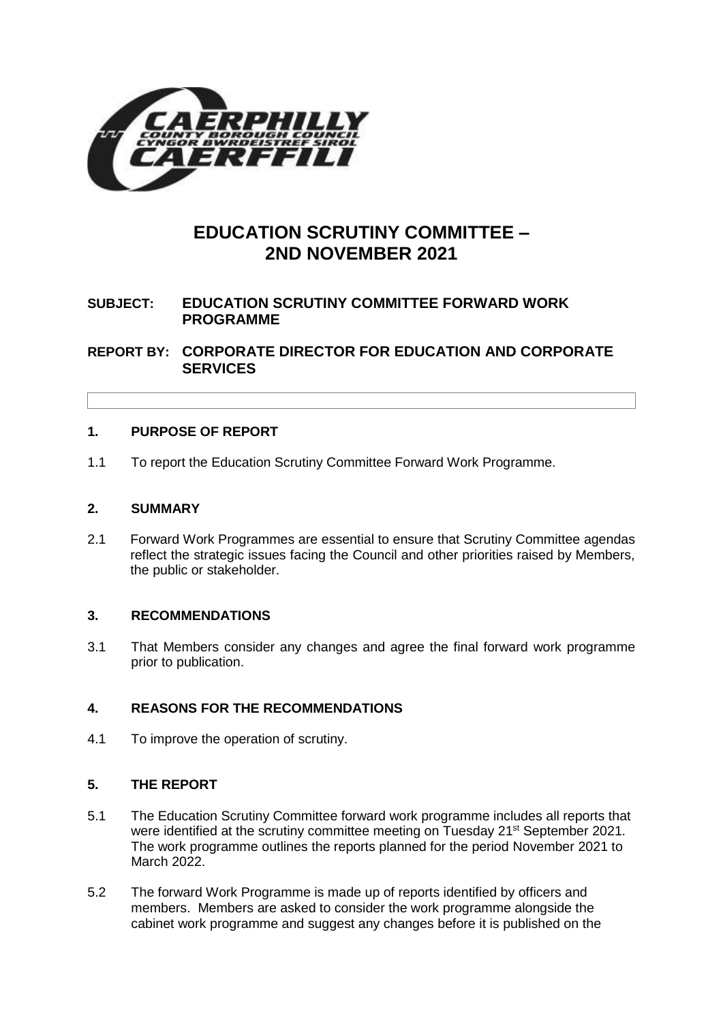

# **EDUCATION SCRUTINY COMMITTEE – 2ND NOVEMBER 2021**

# **SUBJECT: EDUCATION SCRUTINY COMMITTEE FORWARD WORK PROGRAMME**

**REPORT BY: CORPORATE DIRECTOR FOR EDUCATION AND CORPORATE SERVICES**

## **1. PURPOSE OF REPORT**

1.1 To report the Education Scrutiny Committee Forward Work Programme.

## **2. SUMMARY**

2.1 Forward Work Programmes are essential to ensure that Scrutiny Committee agendas reflect the strategic issues facing the Council and other priorities raised by Members, the public or stakeholder.

## **3. RECOMMENDATIONS**

3.1 That Members consider any changes and agree the final forward work programme prior to publication.

# **4. REASONS FOR THE RECOMMENDATIONS**

4.1 To improve the operation of scrutiny.

## **5. THE REPORT**

- 5.1 The Education Scrutiny Committee forward work programme includes all reports that were identified at the scrutiny committee meeting on Tuesday 21<sup>st</sup> September 2021. The work programme outlines the reports planned for the period November 2021 to March 2022.
- 5.2 The forward Work Programme is made up of reports identified by officers and members. Members are asked to consider the work programme alongside the cabinet work programme and suggest any changes before it is published on the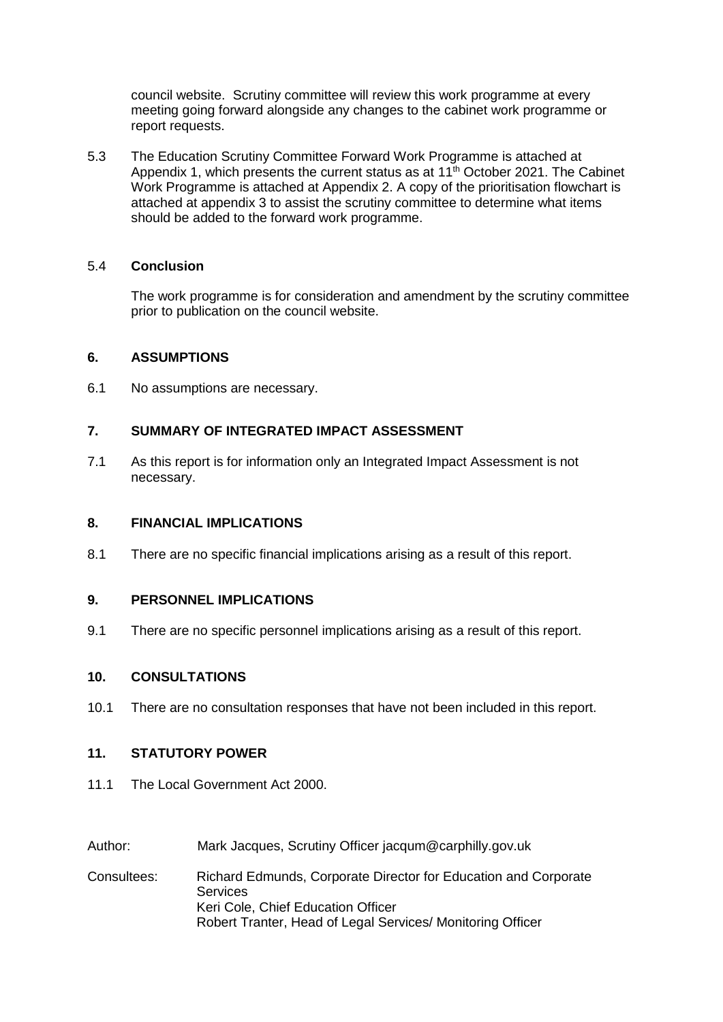council website. Scrutiny committee will review this work programme at every meeting going forward alongside any changes to the cabinet work programme or report requests.

5.3 The Education Scrutiny Committee Forward Work Programme is attached at Appendix 1, which presents the current status as at 11<sup>th</sup> October 2021. The Cabinet Work Programme is attached at Appendix 2. A copy of the prioritisation flowchart is attached at appendix 3 to assist the scrutiny committee to determine what items should be added to the forward work programme.

## 5.4 **Conclusion**

The work programme is for consideration and amendment by the scrutiny committee prior to publication on the council website.

#### **6. ASSUMPTIONS**

6.1 No assumptions are necessary.

## **7. SUMMARY OF INTEGRATED IMPACT ASSESSMENT**

7.1 As this report is for information only an Integrated Impact Assessment is not necessary.

#### **8. FINANCIAL IMPLICATIONS**

8.1 There are no specific financial implications arising as a result of this report.

#### **9. PERSONNEL IMPLICATIONS**

9.1 There are no specific personnel implications arising as a result of this report.

#### **10. CONSULTATIONS**

10.1 There are no consultation responses that have not been included in this report.

## **11. STATUTORY POWER**

- 11.1 The Local Government Act 2000.
- Author: Mark Jacques, Scrutiny Officer jacqum@carphilly.gov.uk
- Consultees: Richard Edmunds, Corporate Director for Education and Corporate **Services** Keri Cole, Chief Education Officer Robert Tranter, Head of Legal Services/ Monitoring Officer